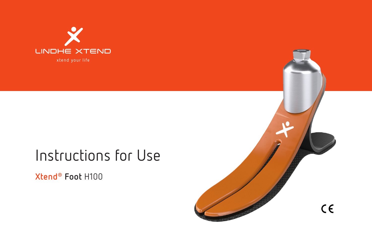

# Instructions for Use

**Xtend® Foot** H100

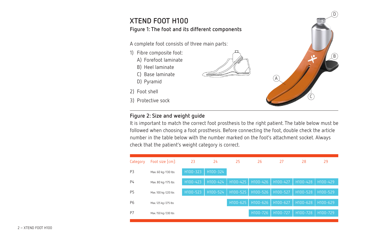### **XTEND FOOT H100 Figure 1: The foot and its different components**

A complete foot consists of three main parts:

- 1) Fibre composite foot:
	- A) Forefoot laminate
	- B) Heel laminate
	- C) Base laminate
	- D) Pyramid
- 2) Foot shell
- 3) Protective sock

#### **Figure 2: Size and weight guide**

It is important to match the correct foot prosthesis to the right patient. The table below must be followed when choosing a foot prosthesis. Before connecting the foot, double check the article number in the table below with the number marked on the foot's attachment socket. Always check that the patient's weight category is correct.



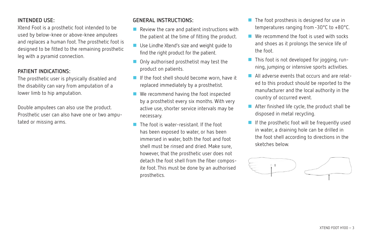#### **INTENDED USE:**

Xtend Foot is a prosthetic foot intended to be used by below-knee or above-knee amputees and replaces a human foot. The prosthetic foot is designed to be fitted to the remaining prosthetic leg with a pyramid connection.

#### **PATIENT INDICATIONS:**

The prosthetic user is physically disabled and the disability can vary from amputation of a lower limb to hip amputation.

Double amputees can also use the product. Prosthetic user can also have one or two amputated or missing arms.

#### **GENERAL INSTRUCTIONS:**

- **Review the care and patient instructions with** the patient at the time of fitting the product.
- Use Lindhe Xtend's size and weight quide to find the right product for the patient.
- Only authorised prosthetist may test the product on patients.
- If the foot shell should become worn, have it replaced immediately by a prosthetist.
- We recommend having the foot inspected by a prosthetist every six months. With very active use, shorter service intervals may be necessary.
- **The foot is water-resistant. If the foot** has been exposed to water, or has been immersed in water, both the foot and foot shell must be rinsed and dried. Make sure, however, that the prosthetic user does not detach the foot shell from the fiber composite foot. This must be done by an authorised prosthetics.
- $\blacksquare$  The foot prosthesis is designed for use in temperatures ranging from -30°C to +80°C.
- We recommend the foot is used with socks and shoes as it prolongs the service life of the foot.
- This foot is not developed for jogging, running, jumping or intensive sports activities.
- All adverse events that occurs and are related to this product should be reported to the manufacturer and the local authority in the country of occurred event.
- After finished life cycle, the product shall be disposed in metal recycling.
- If the prosthetic foot will be frequently used in water, a draining hole can be drilled in the foot shell according to directions in the sketches below.

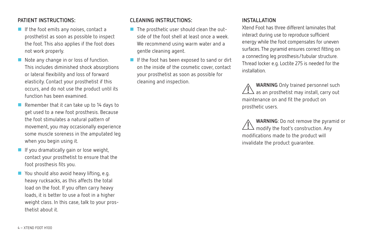#### **PATIENT INSTRUCTIONS:**

- If the foot emits any noises, contact a prosthetist as soon as possible to inspect the foot. This also applies if the foot does not work properly.
- Note any change in or loss of function. This includes diminished shock absorptions or lateral flexibility and loss of forward elasticity. Contact your prosthetist if this occurs, and do not use the product until its function has been examined.
- Remember that it can take up to 14 days to get used to a new foot prosthesis. Because the foot stimulates a natural pattern of movement, you may occasionally experience some muscle soreness in the amputated leg when you begin using it.
- **If you dramatically gain or lose weight,** contact your prosthetist to ensure that the foot prosthesis fits you.
- You should also avoid heavy lifting, e.g. heavy rucksacks, as this affects the total load on the foot. If you often carry heavy loads, it is better to use a foot in a higher weight class. In this case, talk to your prosthetist about it.

#### **CLEANING INSTRUCTIONS:**

- The prosthetic user should clean the outside of the foot shell at least once a week. We recommend using warm water and a gentle cleaning agent.
- If the foot has been exposed to sand or dirt on the inside of the cosmetic cover, contact your prosthetist as soon as possible for cleaning and inspection.

#### **INSTALLATION**

Xtend Foot has three different laminates that interact during use to reproduce sufficient energy while the foot compensates for uneven surfaces. The pyramid ensures correct fitting on a connecting leg prosthesis/tubular structure. Thread locker e.g. Loctite 275 is needed for the installation.

**WARNING** Only trained personnel such as an prosthetist may install, carry out maintenance on and fit the product on prosthetic users.

**WARNING**: Do not remove the pyramid or modify the foot's construction. Any modifications made to the product will invalidate the product guarantee.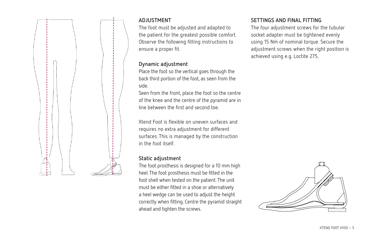

#### **ADJUSTMENT**

The foot must be adjusted and adapted to the patient for the greatest possible comfort. Observe the following fitting instructions to ensure a proper fit.

#### **Dynamic adjustment**

Place the foot so the vertical goes through the back third portion of the foot, as seen from the side.

Seen from the front, place the foot so the centre of the knee and the centre of the pyramid are in line between the first and second toe.

Xtend Foot is flexible on uneven surfaces and requires no extra adjustment for different surfaces. This is managed by the construction in the foot itself.

#### **Static adjustment**

The foot prosthesis is designed for a 10 mm high heel. The foot prosthesis must be fitted in the foot shell when tested on the patient. The unit must be either fitted in a shoe or alternatively a heel wedge can be used to adjust the height correctly when fitting. Centre the pyramid straight ahead and tighten the screws.

#### **SETTINGS AND FINAL FITTING**

The four adjustment screws for the tubular socket adapter must be tightened evenly using 15 Nm of nominal torque. Secure the adjustment screws when the right position is achieved using e.g. Loctite 275.

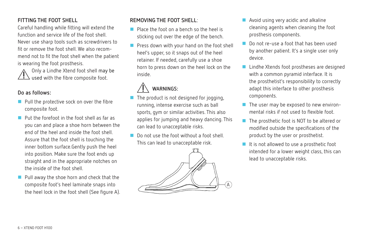#### **FITTING THE FOOT SHELL**

Careful handling while fitting will extend the function and service life of the foot shell. Never use sharp tools such as screwdrivers to fit or remove the foot shell. We also recommend not to fit the foot shell when the patient is wearing the foot prosthesis.

Only a Lindhe Xtend foot shell may be used with the fibre composite foot.

#### **Do as follows:**

- Pull the protective sock on over the fibre composite foot.
- **Put the forefoot in the foot shell as far as** you can and place a shoe horn between the end of the heel and inside the foot shell. Assure that the foot shell is touching the inner bottom surface.Gently push the heel into position. Make sure the foot ends up straight and in the appropriate notches on the inside of the foot shell.
- Pull away the shoe horn and check that the composite foot's heel laminate snaps into the heel lock in the foot shell (See figure A).

#### **REMOVING THE FOOT SHELL**:

- **Place the foot on a hench so the heel is** sticking out over the edge of the bench.
- Press down with your hand on the foot shell heel's upper, so it snaps out of the heel retainer. If needed, carefully use a shoe horn to press down on the heel lock on the inside.

## **WARNINGS:**

- $\blacksquare$  The product is not designed for jogging, running, intense exercise such as ball sports, gym or similar activities. This also applies for jumping and heavy dancing. This can lead to unacceptable risks.
- Do not use the foot without a foot shell This can lead to unacceptable risk.



- **Avoid using very acidic and alkaline** cleaning agents when cleaning the foot prosthesis components.
- **Do not re-use a foot that has been used** by another patient. It's a single user only device.
- Lindhe Xtends foot prostheses are designed with a common pyramid interface. It is the prosthetist's responsibility to correctly adapt this interface to other prosthesis components.
- The user may be exposed to new environmental risks if not used to flexible foot.
- The prosthetic foot is NOT to be altered or modified outside the specifications of the product by the user or prosthetist.
- $\blacksquare$  It is not allowed to use a prosthetic foot intended for a lower weight class, this can lead to unacceptable risks.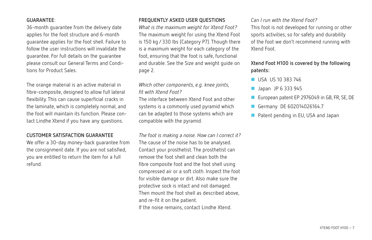#### **GUARANTEE**:

36-month guarantee from the delivery date applies for the foot structure and 6-month guarantee applies for the foot shell. Failure to follow the user instructions will invalidate the guarantee. For full details on the guarantee please consult our General Terms and Conditions for Product Sales.

The orange material is an active material in fibre-composite, designed to allow full lateral flexibility. This can cause superficial cracks in the laminate, which is completely normal, and the foot will maintain its function. Please contact Lindhe Xtend if you have any questions.

#### **CUSTOMER SATISFACTION GUARANTEE**

We offer a 30-day money-back guarantee from the consignment date. If you are not satisfied, you are entitled to return the item for a full refund.

#### **FREQUENTLY ASKED USER QUESTIONS**

*What is the maximum weight for Xtend Foot?* The maximum weight for using the Xtend Foot is 150 kg / 330 lbs (Category P7). Though there is a maximum weight for each category of the foot, ensuring that the foot is safe, functional and durable. See the Size and weight guide on page 2.

*Which other components, e.g. knee joints, fit with Xtend Foot?*

The interface between Xtend Foot and other systems is a commonly used pyramid which can be adapted to those systems which are compatible with the pyramid.

*The foot is making a noise. How can I correct it?* The cause of the noise has to be analysed. Contact your prosthetist. The prosthetist can remove the foot shell and clean both the fibre composite foot and the foot shell using compressed air or a soft cloth. Inspect the foot for visible damage or dirt. Also make sure the protective sock is intact and not damaged. Then mount the foot shell as described above, and re-fit it on the patient. If the noise remains, contact Lindhe Xtend.

#### *Can I run with the Xtend Foot?*

This foot is not developed for running or other sports activities, so for safety and durability of the foot we don't recommend running with Xtend Foot.

#### **Xtend Foot H100 is covered by the following patents:**

- USA US 10 383 746
- Japan JP 6 333 945
- European patent EP 2976049 in GB, FR, SE, DE
- Germany DE 602014026164.7
- Patent pending in EU, USA and Japan